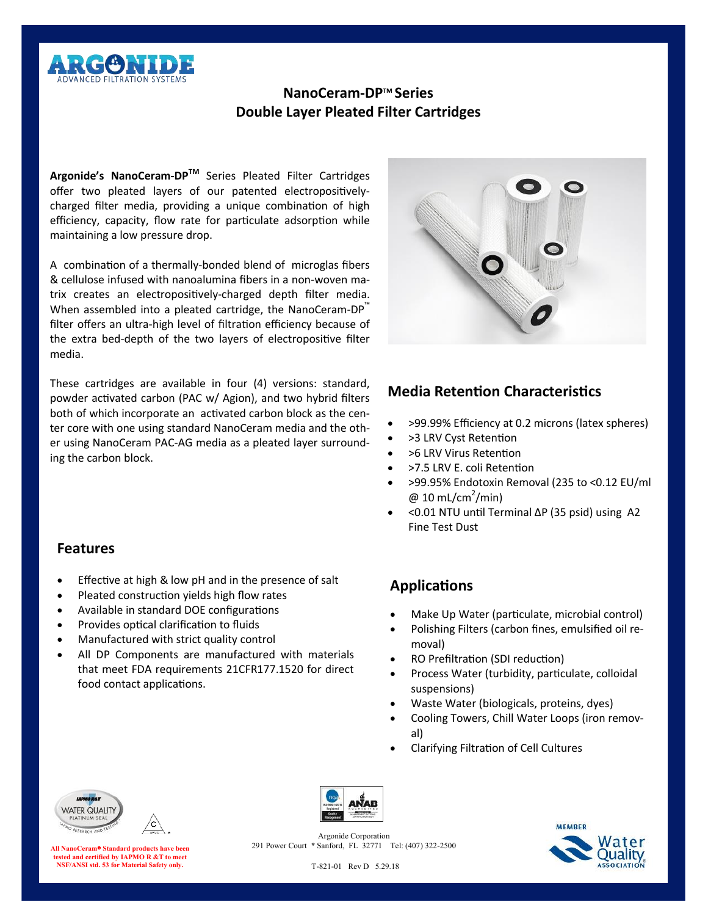

# **NanoCeram-DPTM Series Double Layer Pleated Filter Cartridges**

**Argonide's NanoCeram-DPTM** Series Pleated Filter Cartridges offer two pleated layers of our patented electropositivelycharged filter media, providing a unique combination of high efficiency, capacity, flow rate for particulate adsorption while maintaining a low pressure drop.

A combination of a thermally-bonded blend of microglas fibers & cellulose infused with nanoalumina fibers in a non-woven matrix creates an electropositively-charged depth filter media. When assembled into a pleated cartridge, the NanoCeram-DP™ filter offers an ultra-high level of filtration efficiency because of the extra bed-depth of the two layers of electropositive filter media.

These cartridges are available in four (4) versions: standard, powder activated carbon (PAC w/ Agion), and two hybrid filters both of which incorporate an activated carbon block as the center core with one using standard NanoCeram media and the other using NanoCeram PAC-AG media as a pleated layer surrounding the carbon block.



# **Media Retention Characteristics**

- >99.99% Efficiency at 0.2 microns (latex spheres)
- >3 LRV Cyst Retention
- >6 LRV Virus Retention
- >7.5 LRV E. coli Retention
- >99.95% Endotoxin Removal (235 to <0.12 EU/ml  $@10$  mL/cm<sup>2</sup>/min)
- <0.01 NTU until Terminal ∆P (35 psid) using A2 Fine Test Dust

## **Features**

- Effective at high & low pH and in the presence of salt
- Pleated construction yields high flow rates
- Available in standard DOE configurations
- Provides optical clarification to fluids
- Manufactured with strict quality control
- All DP Components are manufactured with materials that meet FDA requirements 21CFR177.1520 for direct food contact applications.

# **Applications**

- Make Up Water (particulate, microbial control)
- Polishing Filters (carbon fines, emulsified oil removal)
- RO Prefiltration (SDI reduction)
- Process Water (turbidity, particulate, colloidal suspensions)
- Waste Water (biologicals, proteins, dyes)
- Cooling Towers, Chill Water Loops (iron removal)
- Clarifying Filtration of Cell Cultures



**All NanoCeram**® **Standard products have been tested and certified by IAPMO R &T to meet NSF/ANSI std. 53 for Material Safety only.**



Argonide Corporation 291 Power Court \* Sanford, FL 32771 Tel: (407) 322-2500



T-821-01 Rev D 5.29.18